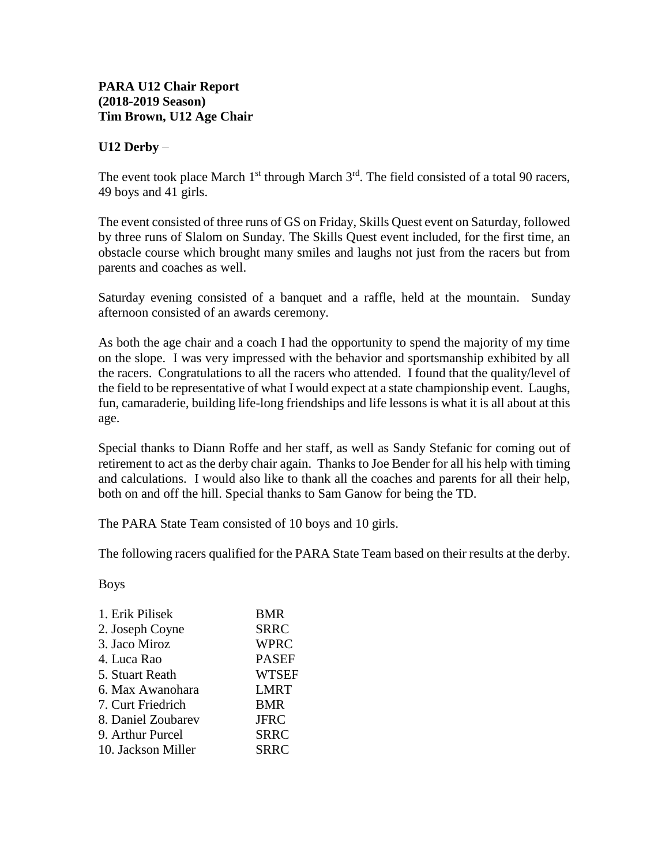## **U12 Derby** –

The event took place March  $1<sup>st</sup>$  through March  $3<sup>rd</sup>$ . The field consisted of a total 90 racers, 49 boys and 41 girls.

The event consisted of three runs of GS on Friday, Skills Quest event on Saturday, followed by three runs of Slalom on Sunday. The Skills Quest event included, for the first time, an obstacle course which brought many smiles and laughs not just from the racers but from parents and coaches as well.

Saturday evening consisted of a banquet and a raffle, held at the mountain. Sunday afternoon consisted of an awards ceremony.

As both the age chair and a coach I had the opportunity to spend the majority of my time on the slope. I was very impressed with the behavior and sportsmanship exhibited by all the racers. Congratulations to all the racers who attended. I found that the quality/level of the field to be representative of what I would expect at a state championship event. Laughs, fun, camaraderie, building life-long friendships and life lessons is what it is all about at this age.

Special thanks to Diann Roffe and her staff, as well as Sandy Stefanic for coming out of retirement to act as the derby chair again. Thanks to Joe Bender for all his help with timing and calculations. I would also like to thank all the coaches and parents for all their help, both on and off the hill. Special thanks to Sam Ganow for being the TD.

The PARA State Team consisted of 10 boys and 10 girls.

The following racers qualified for the PARA State Team based on their results at the derby.

Boys

| 1. Erik Pilisek    | <b>BMR</b>   |
|--------------------|--------------|
| 2. Joseph Coyne    | <b>SRRC</b>  |
| 3. Jaco Miroz      | <b>WPRC</b>  |
| 4. Luca Rao        | <b>PASEF</b> |
| 5. Stuart Reath    | <b>WTSEF</b> |
| 6. Max Awanohara   | <b>LMRT</b>  |
| 7. Curt Friedrich  | <b>BMR</b>   |
| 8. Daniel Zoubarev | <b>JFRC</b>  |
| 9. Arthur Purcel   | <b>SRRC</b>  |
| 10. Jackson Miller | SRRC         |
|                    |              |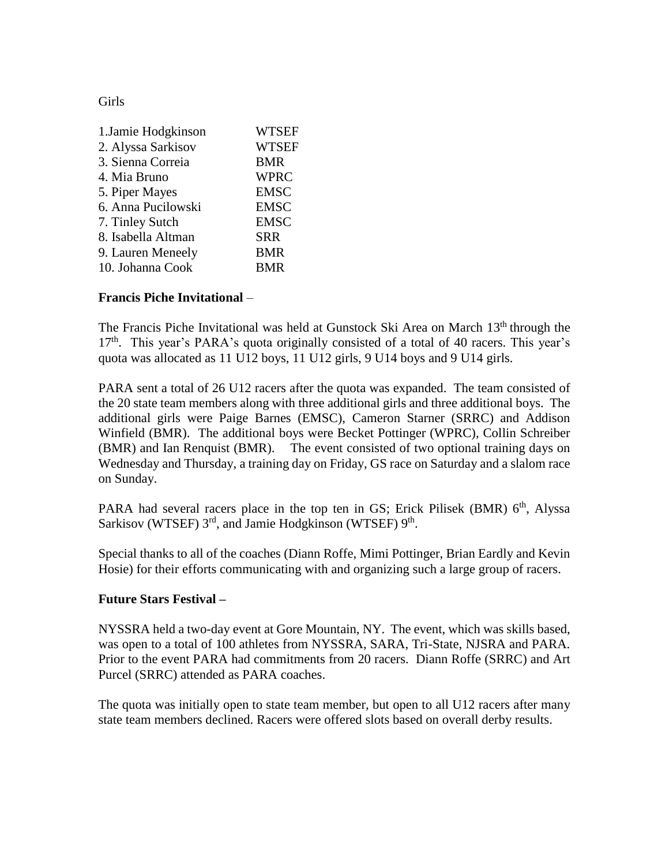## Girls

| 1. Jamie Hodgkinson | <b>WTSEF</b> |
|---------------------|--------------|
| 2. Alyssa Sarkisov  | <b>WTSEF</b> |
| 3. Sienna Correia   | <b>BMR</b>   |
| 4. Mia Bruno        | <b>WPRC</b>  |
| 5. Piper Mayes      | <b>EMSC</b>  |
| 6. Anna Pucilowski  | <b>EMSC</b>  |
| 7. Tinley Sutch     | <b>EMSC</b>  |
| 8. Isabella Altman  | <b>SRR</b>   |
| 9. Lauren Meneely   | <b>BMR</b>   |
| 10. Johanna Cook    | BMR          |

## **Francis Piche Invitational** –

The Francis Piche Invitational was held at Gunstock Ski Area on March 13<sup>th</sup> through the 17<sup>th</sup>. This year's PARA's quota originally consisted of a total of 40 racers. This year's quota was allocated as 11 U12 boys, 11 U12 girls, 9 U14 boys and 9 U14 girls.

PARA sent a total of 26 U12 racers after the quota was expanded. The team consisted of the 20 state team members along with three additional girls and three additional boys. The additional girls were Paige Barnes (EMSC), Cameron Starner (SRRC) and Addison Winfield (BMR). The additional boys were Becket Pottinger (WPRC), Collin Schreiber (BMR) and Ian Renquist (BMR). The event consisted of two optional training days on Wednesday and Thursday, a training day on Friday, GS race on Saturday and a slalom race on Sunday.

PARA had several racers place in the top ten in GS; Erick Pilisek (BMR) 6<sup>th</sup>, Alyssa Sarkisov (WTSEF) 3rd, and Jamie Hodgkinson (WTSEF) 9th.

Special thanks to all of the coaches (Diann Roffe, Mimi Pottinger, Brian Eardly and Kevin Hosie) for their efforts communicating with and organizing such a large group of racers.

## **Future Stars Festival –**

NYSSRA held a two-day event at Gore Mountain, NY. The event, which was skills based, was open to a total of 100 athletes from NYSSRA, SARA, Tri-State, NJSRA and PARA. Prior to the event PARA had commitments from 20 racers. Diann Roffe (SRRC) and Art Purcel (SRRC) attended as PARA coaches.

The quota was initially open to state team member, but open to all U12 racers after many state team members declined. Racers were offered slots based on overall derby results.